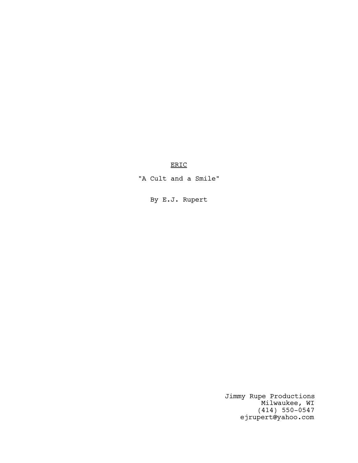ERIC

"A Cult and a Smile"

By E.J. Rupert

Jimmy Rupe Productions Milwaukee, WI (414) 550-0547 ejrupert@yahoo.com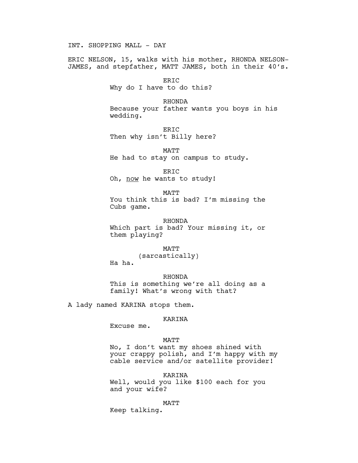INT. SHOPPING MALL - DAY

ERIC NELSON, 15, walks with his mother, RHONDA NELSON-JAMES, and stepfather, MATT JAMES, both in their 40's.

> ERIC Why do I have to do this?

RHONDA Because your father wants you boys in his wedding.

ERIC Then why isn't Billy here?

MATT He had to stay on campus to study.

ERIC Oh, now he wants to study!

MATT You think this is bad? I'm missing the Cubs game.

RHONDA Which part is bad? Your missing it, or them playing?

MATT

(sarcastically)

Ha ha.

RHONDA This is something we're all doing as a family! What's wrong with that?

A lady named KARINA stops them.

# KARINA

Excuse me.

## MATT

No, I don't want my shoes shined with your crappy polish, and I'm happy with my cable service and/or satellite provider!

KARINA

Well, would you like \$100 each for you and your wife?

MATT

Keep talking.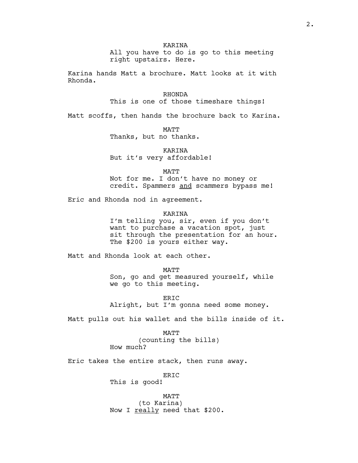All you have to do is go to this meeting right upstairs. Here.

Karina hands Matt a brochure. Matt looks at it with Rhonda.

> RHONDA This is one of those timeshare things!

Matt scoffs, then hands the brochure back to Karina.

MATT Thanks, but no thanks.

**KARTNA** But it's very affordable!

MATT

Not for me. I don't have no money or credit. Spammers and scammers bypass me!

Eric and Rhonda nod in agreement.

**KARINA** 

I'm telling you, sir, even if you don't want to purchase a vacation spot, just sit through the presentation for an hour. The \$200 is yours either way.

Matt and Rhonda look at each other.

MATT

Son, go and get measured yourself, while we go to this meeting.

ERIC Alright, but I'm gonna need some money.

Matt pulls out his wallet and the bills inside of it.

MATT

(counting the bills)

How much?

Eric takes the entire stack, then runs away.

ERIC

This is good!

MATT (to Karina) Now I really need that \$200.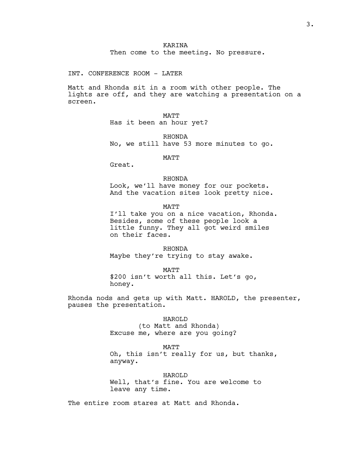INT. CONFERENCE ROOM - LATER

Matt and Rhonda sit in a room with other people. The lights are off, and they are watching a presentation on a screen.

> MATT Has it been an hour yet?

RHONDA No, we still have 53 more minutes to go.

MATT

Great.

### RHONDA

Look, we'll have money for our pockets. And the vacation sites look pretty nice.

MATT

I'll take you on a nice vacation, Rhonda. Besides, some of these people look a little funny. They all got weird smiles on their faces.

RHONDA Maybe they're trying to stay awake.

MATT

\$200 isn't worth all this. Let's go, honey.

Rhonda nods and gets up with Matt. HAROLD, the presenter, pauses the presentation.

> HAROLD (to Matt and Rhonda) Excuse me, where are you going?

> > MATT

Oh, this isn't really for us, but thanks, anyway.

HAROLD Well, that's fine. You are welcome to leave any time.

The entire room stares at Matt and Rhonda.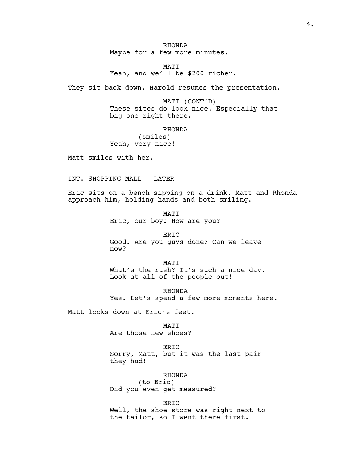RHONDA Maybe for a few more minutes.

MATT Yeah, and we'll be \$200 richer.

They sit back down. Harold resumes the presentation.

MATT (CONT'D) These sites do look nice. Especially that big one right there.

RHONDA (smiles) Yeah, very nice!

Matt smiles with her.

INT. SHOPPING MALL - LATER

Eric sits on a bench sipping on a drink. Matt and Rhonda approach him, holding hands and both smiling.

> MATT Eric, our boy! How are you?

ERIC Good. Are you guys done? Can we leave now?

MATT What's the rush? It's such a nice day. Look at all of the people out!

RHONDA Yes. Let's spend a few more moments here.

Matt looks down at Eric's feet.

MATT

Are those new shoes?

ERIC Sorry, Matt, but it was the last pair they had!

RHONDA (to Eric) Did you even get measured?

ERIC Well, the shoe store was right next to the tailor, so I went there first.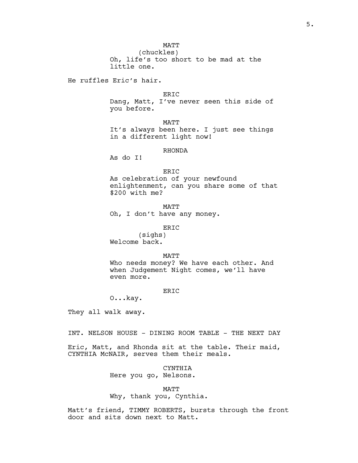(chuckles) Oh, life's too short to be mad at the little one.

He ruffles Eric's hair.

ERIC

Dang, Matt, I've never seen this side of you before.

MATT It's always been here. I just see things in a different light now!

### RHONDA

As do I!

#### ERIC

As celebration of your newfound enlightenment, can you share some of that \$200 with me?

MATT Oh, I don't have any money.

ERIC

(sighs) Welcome back.

### MATT

Who needs money? We have each other. And when Judgement Night comes, we'll have even more.

## ER<sub>IC</sub>

O...kay.

They all walk away.

INT. NELSON HOUSE - DINING ROOM TABLE - THE NEXT DAY

Eric, Matt, and Rhonda sit at the table. Their maid, CYNTHIA McNAIR, serves them their meals.

## CYNTHIA

Here you go, Nelsons.

### MATT

Why, thank you, Cynthia.

Matt's friend, TIMMY ROBERTS, bursts through the front door and sits down next to Matt.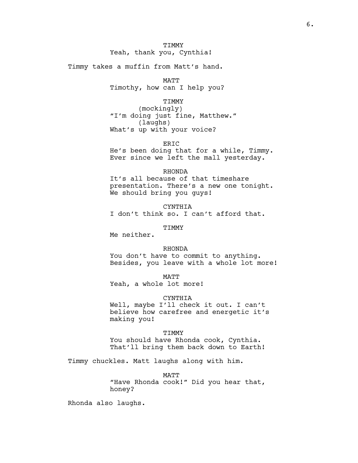# **TIMMY** Yeah, thank you, Cynthia!

Timmy takes a muffin from Matt's hand.

MATT

Timothy, how can I help you?

### TIMMY

(mockingly) "I'm doing just fine, Matthew." (laughs) What's up with your voice?

ERIC

He's been doing that for a while, Timmy. Ever since we left the mall yesterday.

#### RHONDA

It's all because of that timeshare presentation. There's a new one tonight. We should bring you guys!

CYNTHIA I don't think so. I can't afford that.

TIMMY

Me neither.

#### RHONDA

You don't have to commit to anything. Besides, you leave with a whole lot more!

MATT

Yeah, a whole lot more!

#### CYNTHIA

Well, maybe I'll check it out. I can't believe how carefree and energetic it's making you!

#### TIMMY

You should have Rhonda cook, Cynthia. That'll bring them back down to Earth!

Timmy chuckles. Matt laughs along with him.

MATT "Have Rhonda cook!" Did you hear that, honey?

Rhonda also laughs.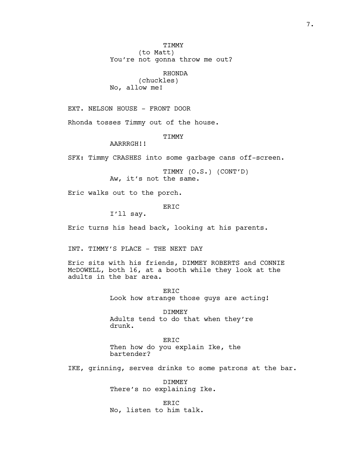TIMMY (to Matt) You're not gonna throw me out?

RHONDA (chuckles) No, allow me!

EXT. NELSON HOUSE - FRONT DOOR

Rhonda tosses Timmy out of the house.

**TTMMY** 

AARRRGH!!

SFX: Timmy CRASHES into some garbage cans off-screen.

TIMMY (O.S.) (CONT'D) Aw, it's not the same.

Eric walks out to the porch.

ERIC

I'll say.

Eric turns his head back, looking at his parents.

INT. TIMMY'S PLACE - THE NEXT DAY

Eric sits with his friends, DIMMEY ROBERTS and CONNIE McDOWELL, both 16, at a booth while they look at the adults in the bar area.

> ER<sub>TC</sub> Look how strange those guys are acting!

DIMMEY Adults tend to do that when they're drunk.

ERIC Then how do you explain Ike, the bartender?

IKE, grinning, serves drinks to some patrons at the bar.

DIMMEY There's no explaining Ike.

ER<sub>TC</sub> No, listen to him talk.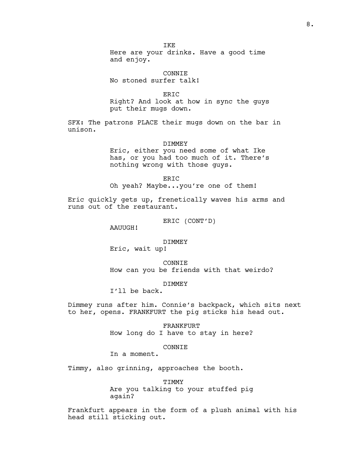IKE

Here are your drinks. Have a good time and enjoy.

CONNIE No stoned surfer talk!

ERIC

Right? And look at how in sync the guys put their mugs down.

SFX: The patrons PLACE their mugs down on the bar in unison.

#### DIMMEY

Eric, either you need some of what Ike has, or you had too much of it. There's nothing wrong with those guys.

ERIC

Oh yeah? Maybe...you're one of them!

Eric quickly gets up, frenetically waves his arms and runs out of the restaurant.

ERIC (CONT'D)

AAUUGH!

## DIMMEY

Eric, wait up!

CONNIE How can you be friends with that weirdo?

DIMMEY

I'll be back.

Dimmey runs after him. Connie's backpack, which sits next to her, opens. FRANKFURT the pig sticks his head out.

> FRANKFURT How long do I have to stay in here?

## CONNIE

In a moment.

Timmy, also grinning, approaches the booth.

TIMMY Are you talking to your stuffed pig again?

Frankfurt appears in the form of a plush animal with his head still sticking out.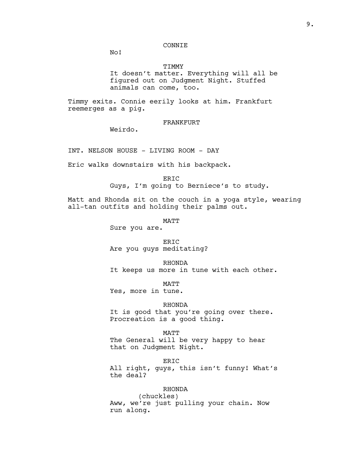# CONNIE

No!

## TIMMY

It doesn't matter. Everything will all be figured out on Judgment Night. Stuffed animals can come, too.

Timmy exits. Connie eerily looks at him. Frankfurt reemerges as a pig.

## FRANKFURT

Weirdo.

INT. NELSON HOUSE - LIVING ROOM - DAY

Eric walks downstairs with his backpack.

### ERIC

Guys, I'm going to Berniece's to study.

Matt and Rhonda sit on the couch in a yoga style, wearing all-tan outfits and holding their palms out.

MATT

Sure you are.

ERIC Are you guys meditating?

RHONDA It keeps us more in tune with each other.

MATT Yes, more in tune.

RHONDA It is good that you're going over there. Procreation is a good thing.

MATT

The General will be very happy to hear that on Judgment Night.

ERIC All right, guys, this isn't funny! What's the deal?

# RHONDA

(chuckles) Aww, we're just pulling your chain. Now run along.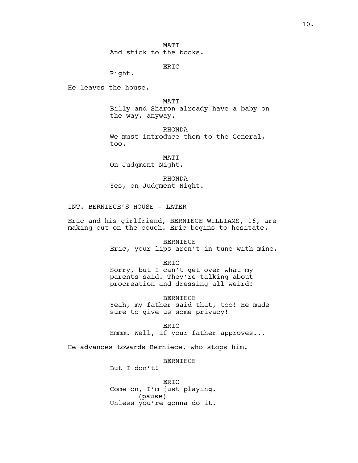**MATT** And stick to the books.

ERIC

Right.

He leaves the house.

MATT

Billy and Sharon already have a baby on the way, anyway.

RHONDA We must introduce them to the General, too.

MATT On Judgment Night.

RHONDA Yes, on Judgment Night.

INT. BERNIECE'S HOUSE - LATER

Eric and his girlfriend, BERNIECE WILLIAMS, 16, are making out on the couch. Eric begins to hesitate.

> BERNIECE Eric, your lips aren't in tune with mine.

ERIC Sorry, but I can't get over what my parents said. They're talking about procreation and dressing all weird!

BERNIECE Yeah, my father said that, too! He made sure to give us some privacy!

ERIC Hmmm. Well, if your father approves...

He advances towards Berniece, who stops him.

BERNIECE

But I don't!

ERIC Come on, I'm just playing. (pause) Unless you're gonna do it.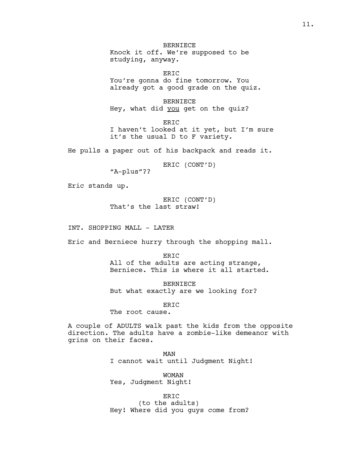BERNIECE Knock it off. We're supposed to be studying, anyway.

ER<sub>TC</sub> You're gonna do fine tomorrow. You already got a good grade on the quiz.

BERNIECE Hey, what did you get on the quiz?

ERIC I haven't looked at it yet, but I'm sure it's the usual D to F variety.

He pulls a paper out of his backpack and reads it.

ERIC (CONT'D)

"A-plus"??

Eric stands up.

ERIC (CONT'D) That's the last straw!

INT. SHOPPING MALL - LATER

Eric and Berniece hurry through the shopping mall.

ERIC All of the adults are acting strange, Berniece. This is where it all started.

BERNIECE But what exactly are we looking for?

ERIC

The root cause.

A couple of ADULTS walk past the kids from the opposite direction. The adults have a zombie-like demeanor with grins on their faces.

> MAN I cannot wait until Judgment Night!

WOMAN Yes, Judgment Night!

ERIC (to the adults) Hey! Where did you guys come from?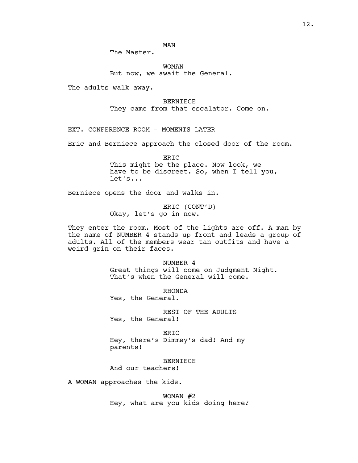MAN

The Master.

WOMAN But now, we await the General.

The adults walk away.

BERNIECE They came from that escalator. Come on.

EXT. CONFERENCE ROOM - MOMENTS LATER

Eric and Berniece approach the closed door of the room.

ERIC This might be the place. Now look, we have to be discreet. So, when I tell you, let's...

Berniece opens the door and walks in.

ERIC (CONT'D) Okay, let's go in now.

They enter the room. Most of the lights are off. A man by the name of NUMBER 4 stands up front and leads a group of adults. All of the members wear tan outfits and have a weird grin on their faces.

> NUMBER 4 Great things will come on Judgment Night. That's when the General will come.

RHONDA Yes, the General.

REST OF THE ADULTS Yes, the General!

ERIC Hey, there's Dimmey's dad! And my parents!

BERNIECE And our teachers!

A WOMAN approaches the kids.

WOMAN #2 Hey, what are you kids doing here?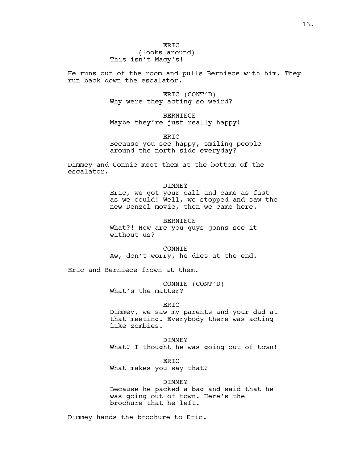(looks around) This isn't Macy's!

He runs out of the room and pulls Berniece with him. They run back down the escalator.

> ERIC (CONT'D) Why were they acting so weird?

BERNIECE Maybe they're just really happy!

ER<sub>TC</sub> Because you see happy, smiling people around the north side everyday?

Dimmey and Connie meet them at the bottom of the escalator.

> DIMMEY Eric, we got your call and came as fast as we could! Well, we stopped and saw the new Denzel movie, then we came here.

> > BERNIECE

What?! How are you guys gonns see it without us?

CONNIE Aw, don't worry, he dies at the end.

Eric and Berniece frown at them.

CONNIE (CONT'D) What's the matter?

ER<sub>TC</sub>

Dimmey, we saw my parents and your dad at that meeting. Everybody there was acting like zombies.

DIMMEY What? I thought he was going out of town!

ERIC What makes you say that?

DIMMEY Because he packed a bag and said that he was going out of town. Here's the brochure that he left.

Dimmey hands the brochure to Eric.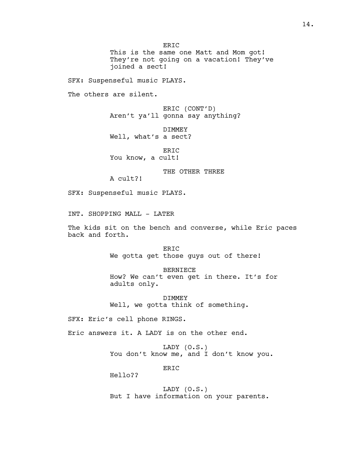ERIC This is the same one Matt and Mom got! They're not going on a vacation! They've joined a sect!

SFX: Suspenseful music PLAYS.

The others are silent.

ERIC (CONT'D) Aren't ya'll gonna say anything?

DIMMEY Well, what's a sect?

ERIC You know, a cult!

THE OTHER THREE

A cult?!

SFX: Suspenseful music PLAYS.

INT. SHOPPING MALL - LATER

The kids sit on the bench and converse, while Eric paces back and forth.

> ER<sub>TC</sub> We gotta get those guys out of there!

> > BERNIECE

How? We can't even get in there. It's for adults only.

DIMMEY Well, we gotta think of something.

SFX: Eric's cell phone RINGS.

Eric answers it. A LADY is on the other end.

LADY (O.S.) You don't know me, and I don't know you.

ER<sub>TC</sub>

Hello??

LADY (O.S.) But I have information on your parents.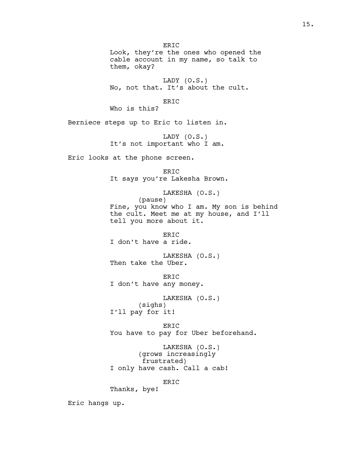Look, they're the ones who opened the cable account in my name, so talk to them, okay? LADY (O.S.) No, not that. It's about the cult. ERIC Who is this? Berniece steps up to Eric to listen in. LADY (O.S.) It's not important who I am. Eric looks at the phone screen. ERIC It says you're Lakesha Brown. LAKESHA (O.S.) (pause) Fine, you know who I am. My son is behind the cult. Meet me at my house, and I'll tell you more about it. ERIC I don't have a ride. LAKESHA (O.S.) Then take the Uber. ERIC I don't have any money. LAKESHA (O.S.) (sighs) I'll pay for it!

ERIC

ERIC You have to pay for Uber beforehand.

LAKESHA (O.S.) (grows increasingly frustrated) I only have cash. Call a cab!

ERIC

Thanks, bye!

Eric hangs up.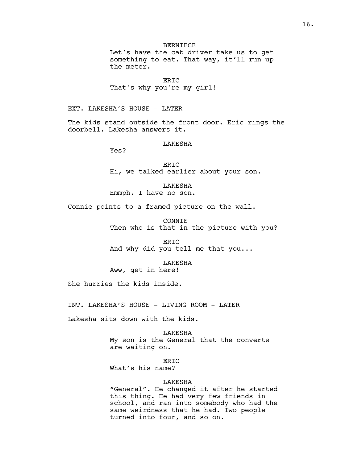BERNIECE

Let's have the cab driver take us to get something to eat. That way, it'll run up the meter.

ERIC That's why you're my girl!

EXT. LAKESHA'S HOUSE - LATER

The kids stand outside the front door. Eric rings the doorbell. Lakesha answers it.

**LAKESHA** 

Yes?

ERIC Hi, we talked earlier about your son.

LAKESHA Hmmph. I have no son.

Connie points to a framed picture on the wall.

CONNIE Then who is that in the picture with you?

ERIC And why did you tell me that you...

LAKESHA

Aww, get in here!

She hurries the kids inside.

INT. LAKESHA'S HOUSE - LIVING ROOM - LATER

Lakesha sits down with the kids.

LAKESHA My son is the General that the converts are waiting on.

ERIC

What's his name?

### LAKESHA

"General". He changed it after he started this thing. He had very few friends in school, and ran into somebody who had the same weirdness that he had. Two people turned into four, and so on.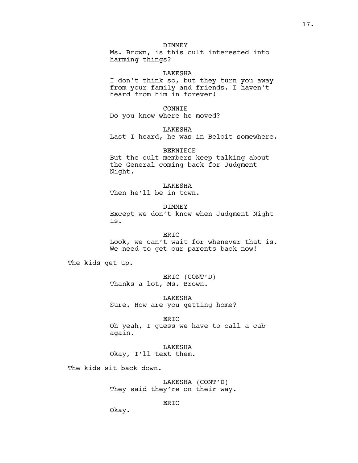Ms. Brown, is this cult interested into harming things?

#### LAKESHA

I don't think so, but they turn you away from your family and friends. I haven't heard from him in forever!

CONNIE

Do you know where he moved?

LAKESHA

Last I heard, he was in Beloit somewhere.

BERNIECE But the cult members keep talking about the General coming back for Judgment Night.

LAKESHA Then he'll be in town.

DIMMEY Except we don't know when Judgment Night is.

ERIC Look, we can't wait for whenever that is. We need to get our parents back now!

The kids get up.

ERIC (CONT'D) Thanks a lot, Ms. Brown.

LAKESHA Sure. How are you getting home?

ERIC Oh yeah, I guess we have to call a cab again.

LAKESHA Okay, I'll text them.

The kids sit back down.

LAKESHA (CONT'D) They said they're on their way.

ERIC

Okay.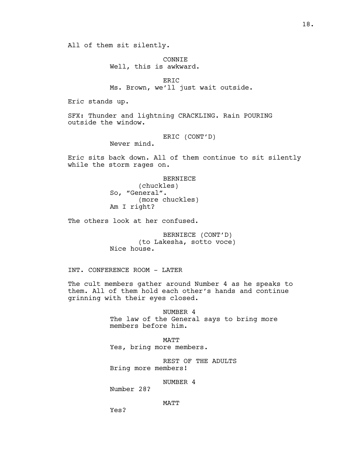All of them sit silently.

CONNIE Well, this is awkward.

ERIC Ms. Brown, we'll just wait outside.

Eric stands up.

SFX: Thunder and lightning CRACKLING. Rain POURING outside the window.

ERIC (CONT'D)

Never mind.

Eric sits back down. All of them continue to sit silently while the storm rages on.

> BERNIECE (chuckles) So, "General". (more chuckles) Am I right?

The others look at her confused.

BERNIECE (CONT'D) (to Lakesha, sotto voce) Nice house.

INT. CONFERENCE ROOM - LATER

The cult members gather around Number 4 as he speaks to them. All of them hold each other's hands and continue grinning with their eyes closed.

> NUMBER 4 The law of the General says to bring more members before him.

**MATT** Yes, bring more members.

REST OF THE ADULTS Bring more members!

NUMBER 4

Number 28?

MATT

Yes?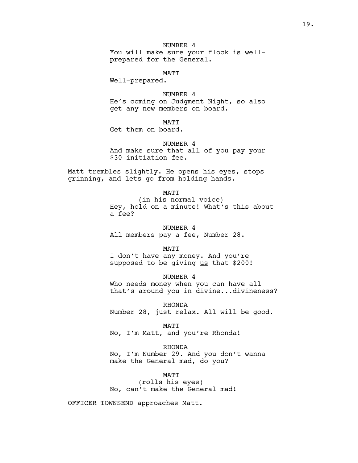NUMBER 4 You will make sure your flock is wellprepared for the General.

MATT

Well-prepared.

NUMBER 4 He's coming on Judgment Night, so also get any new members on board.

MATT

Get them on board.

NUMBER 4 And make sure that all of you pay your \$30 initiation fee.

Matt trembles slightly. He opens his eyes, stops grinning, and lets go from holding hands.

MATT

(in his normal voice) Hey, hold on a minute! What's this about a fee?

NUMBER 4 All members pay a fee, Number 28.

MATT

I don't have any money. And you're supposed to be giving us that \$200!

NUMBER 4 Who needs money when you can have all that's around you in divine...divineness?

RHONDA Number 28, just relax. All will be good.

MATT

No, I'm Matt, and you're Rhonda!

RHONDA

No, I'm Number 29. And you don't wanna make the General mad, do you?

MATT

(rolls his eyes) No, can't make the General mad!

OFFICER TOWNSEND approaches Matt.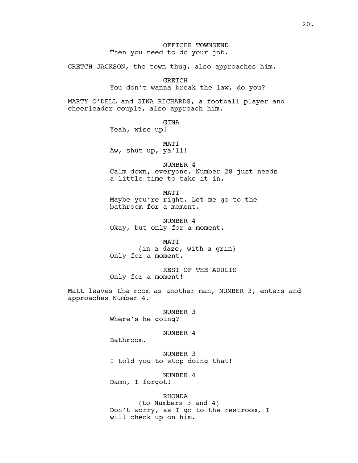# OFFICER TOWNSEND Then you need to do your job.

GRETCH JACKSON, the town thug, also approaches him.

GRETCH

You don't wanna break the law, do you?

MARTY O'DELL and GINA RICHARDS, a football player and cheerleader couple, also approach him.

> GINA Yeah, wise up!

MATT Aw, shut up, ya'll!

NUMBER 4 Calm down, everyone. Number 28 just needs a little time to take it in.

**MATT** Maybe you're right. Let me go to the bathroom for a moment.

NUMBER 4 Okay, but only for a moment.

MATT (in a daze, with a grin) Only for a moment.

REST OF THE ADULTS Only for a moment!

Matt leaves the room as another man, NUMBER 3, enters and approaches Number 4.

> NUMBER 3 Where's he going?

#### NUMBER 4

Bathroom.

NUMBER 3 I told you to stop doing that!

NUMBER 4

Damn, I forgot!

RHONDA (to Numbers 3 and 4) Don't worry, as I go to the restroom, I will check up on him.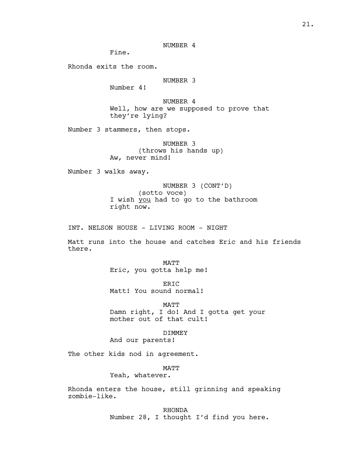NUMBER 4

Fine.

Rhonda exits the room.

## NUMBER 3

Number 4!

NUMBER 4 Well, how are we supposed to prove that they're lying?

Number 3 stammers, then stops.

NUMBER 3 (throws his hands up) Aw, never mind!

Number 3 walks away.

NUMBER 3 (CONT'D) (sotto voce) I wish you had to go to the bathroom right now.

INT. NELSON HOUSE - LIVING ROOM - NIGHT

Matt runs into the house and catches Eric and his friends there.

> MATT Eric, you gotta help me!

ERIC Matt! You sound normal!

MATT Damn right, I do! And I gotta get your mother out of that cult!

DIMMEY

And our parents!

The other kids nod in agreement.

# MATT

Yeah, whatever.

Rhonda enters the house, still grinning and speaking zombie-like.

> RHONDA Number 28, I thought I'd find you here.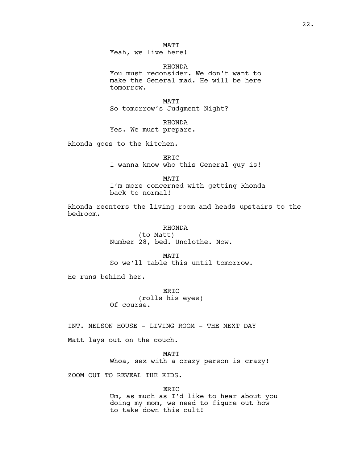MATT Yeah, we live here!

RHONDA

You must reconsider. We don't want to make the General mad. He will be here tomorrow.

MATT So tomorrow's Judgment Night?

RHONDA

Yes. We must prepare.

Rhonda goes to the kitchen.

ERIC I wanna know who this General guy is!

MATT

I'm more concerned with getting Rhonda back to normal!

Rhonda reenters the living room and heads upstairs to the bedroom.

RHONDA

(to Matt) Number 28, bed. Unclothe. Now.

**MATT** So we'll table this until tomorrow.

He runs behind her.

ERIC (rolls his eyes) Of course.

INT. NELSON HOUSE - LIVING ROOM - THE NEXT DAY

Matt lays out on the couch.

MATT Whoa, sex with a crazy person is crazy!

ZOOM OUT TO REVEAL THE KIDS.

ERIC Um, as much as I'd like to hear about you doing my mom, we need to figure out how to take down this cult!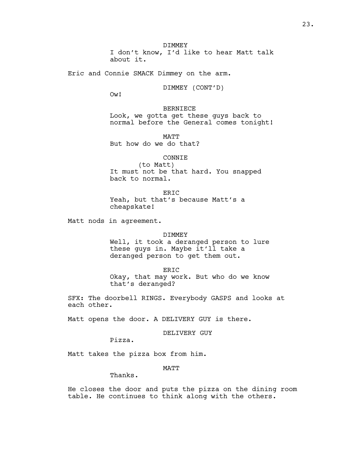Eric and Connie SMACK Dimmey on the arm.

DIMMEY (CONT'D)

Ow!

BERNIECE Look, we gotta get these guys back to normal before the General comes tonight!

MATT But how do we do that?

CONNIE

(to Matt) It must not be that hard. You snapped back to normal.

ERIC Yeah, but that's because Matt's a cheapskate!

Matt nods in agreement.

## DIMMEY

Well, it took a deranged person to lure these guys in. Maybe it'll take a deranged person to get them out.

ERIC Okay, that may work. But who do we know that's deranged?

SFX: The doorbell RINGS. Everybody GASPS and looks at each other.

Matt opens the door. A DELIVERY GUY is there.

DELIVERY GUY

Pizza.

Matt takes the pizza box from him.

MATT

Thanks.

He closes the door and puts the pizza on the dining room table. He continues to think along with the others.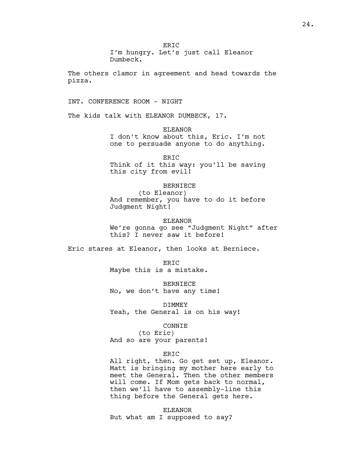ERIC I'm hungry. Let's just call Eleanor Dumbeck. The others clamor in agreement and head towards the pizza. INT. CONFERENCE ROOM - NIGHT The kids talk with ELEANOR DUMBECK, 17. ELEANOR I don't know about this, Eric. I'm not one to persuade anyone to do anything. ERIC Think of it this way: you'll be saving this city from evil! BERNIECE (to Eleanor) And remember, you have to do it before Judgment Night! ELEANOR We're gonna go see "Judgment Night" after this? I never saw it before! Eric stares at Eleanor, then looks at Berniece. ER<sub>TC</sub> Maybe this is a mistake. BERNIECE No, we don't have any time! DIMMEY Yeah, the General is on his way! CONNIE (to Eric) And so are your parents! ERIC All right, then. Go get set up, Eleanor. Matt is bringing my mother here early to meet the General. Then the other members will come. If Mom gets back to normal,

> ELEANOR But what am I supposed to say?

then we'll have to assembly-line this thing before the General gets here.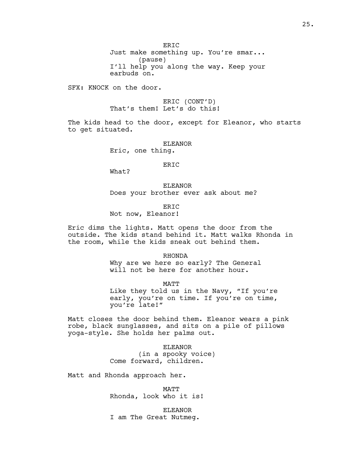ER<sub>IC</sub>

Just make something up. You're smar... (pause) I'll help you along the way. Keep your earbuds on.

SFX: KNOCK on the door.

ERIC (CONT'D) That's them! Let's do this!

The kids head to the door, except for Eleanor, who starts to get situated.

> ELEANOR Eric, one thing.

> > ERIC

What?

ELEANOR Does your brother ever ask about me?

ERIC

Not now, Eleanor!

Eric dims the lights. Matt opens the door from the outside. The kids stand behind it. Matt walks Rhonda in the room, while the kids sneak out behind them.

RHONDA

Why are we here so early? The General will not be here for another hour.

MATT

Like they told us in the Navy, "If you're early, you're on time. If you're on time, you're late!"

Matt closes the door behind them. Eleanor wears a pink robe, black sunglasses, and sits on a pile of pillows yoga-style. She holds her palms out.

> ELEANOR (in a spooky voice) Come forward, children.

Matt and Rhonda approach her.

MATT Rhonda, look who it is!

ELEANOR I am The Great Nutmeg.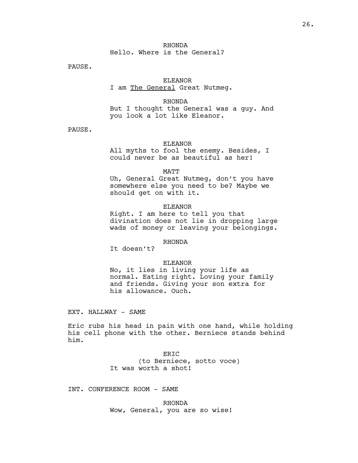# RHONDA Hello. Where is the General?

PAUSE.

# ELEANOR

## I am The General Great Nutmeg.

RHONDA But I thought the General was a guy. And you look a lot like Eleanor.

PAUSE.

## ELEANOR

All myths to fool the enemy. Besides, I could never be as beautiful as her!

#### MATT

Uh, General Great Nutmeg, don't you have somewhere else you need to be? Maybe we should get on with it.

## ELEANOR

Right. I am here to tell you that divination does not lie in dropping large wads of money or leaving your belongings.

# RHONDA

It doesn't?

## ELEANOR

No, it lies in living your life as normal. Eating right. Loving your family and friends. Giving your son extra for his allowance. Ouch.

EXT. HALLWAY - SAME

Eric rubs his head in pain with one hand, while holding his cell phone with the other. Berniece stands behind him.

> ERIC (to Berniece, sotto voce) It was worth a shot!

INT. CONFERENCE ROOM - SAME

RHONDA Wow, General, you are so wise!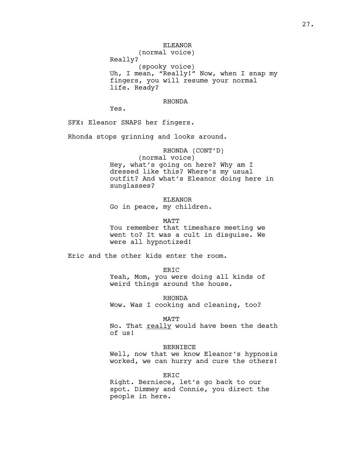ELEANOR (normal voice) Really? (spooky voice) Uh, I mean, "Really!" Now, when I snap my fingers, you will resume your normal life. Ready?

#### RHONDA

Yes.

SFX: Eleanor SNAPS her fingers.

Rhonda stops grinning and looks around.

RHONDA (CONT'D) (normal voice) Hey, what's going on here? Why am I dressed like this? Where's my usual outfit? And what's Eleanor doing here in sunglasses?

ELEANOR Go in peace, my children.

MATT You remember that timeshare meeting we went to? It was a cult in disguise. We were all hypnotized!

Eric and the other kids enter the room.

ERIC

Yeah, Mom, you were doing all kinds of weird things around the house.

RHONDA Wow. Was I cooking and cleaning, too?

MATT

No. That really would have been the death of us!

#### BERNIECE

Well, now that we know Eleanor's hypnosis worked, we can hurry and cure the others!

#### ERIC

Right. Berniece, let's go back to our spot. Dimmey and Connie, you direct the people in here.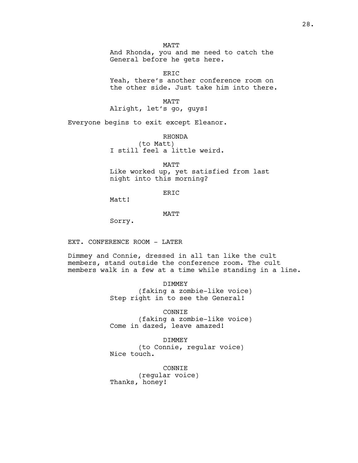MATT

And Rhonda, you and me need to catch the General before he gets here.

ERIC

Yeah, there's another conference room on the other side. Just take him into there.

MATT

Alright, let's go, guys!

Everyone begins to exit except Eleanor.

RHONDA (to Matt) I still feel a little weird.

MATT Like worked up, yet satisfied from last night into this morning?

ERIC

Matt!

MATT

Sorry.

EXT. CONFERENCE ROOM - LATER

Dimmey and Connie, dressed in all tan like the cult members, stand outside the conference room. The cult members walk in a few at a time while standing in a line.

> DIMMEY (faking a zombie-like voice) Step right in to see the General!

> CONNIE (faking a zombie-like voice) Come in dazed, leave amazed!

DIMMEY (to Connie, regular voice) Nice touch.

CONNIE (regular voice) Thanks, honey!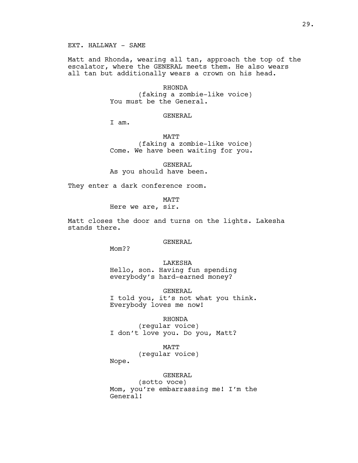EXT. HALLWAY - SAME

Matt and Rhonda, wearing all tan, approach the top of the escalator, where the GENERAL meets them. He also wears all tan but additionally wears a crown on his head.

## RHONDA

(faking a zombie-like voice) You must be the General.

## GENERAL

I am.

MATT

(faking a zombie-like voice) Come. We have been waiting for you.

GENERAL As you should have been.

They enter a dark conference room.

**MATT** 

Here we are, sir.

Matt closes the door and turns on the lights. Lakesha stands there.

### GENERAL

Mom??

LAKESHA Hello, son. Having fun spending everybody's hard-earned money?

GENERAL I told you, it's not what you think. Everybody loves me now!

### RHONDA

(regular voice) I don't love you. Do you, Matt?

MATT

(regular voice)

Nope.

#### GENERAL

(sotto voce) Mom, you're embarrassing me! I'm the General!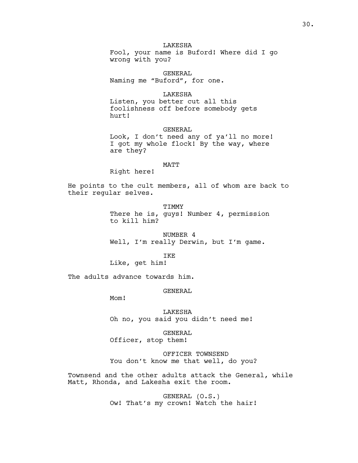# LAKESHA

Fool, your name is Buford! Where did I go wrong with you?

GENERAL Naming me "Buford", for one.

#### LAKESHA

Listen, you better cut all this foolishness off before somebody gets hurt!

### GENERAL

Look, I don't need any of ya'll no more! I got my whole flock! By the way, where are they?

## MATT

Right here!

He points to the cult members, all of whom are back to their regular selves.

> TIMMY There he is, quys! Number 4, permission to kill him?

NUMBER 4 Well, I'm really Derwin, but I'm game.

IKE

Like, get him!

The adults advance towards him.

## GENERAL

Mom!

LAKESHA Oh no, you said you didn't need me!

GENERAL Officer, stop them!

OFFICER TOWNSEND You don't know me that well, do you?

Townsend and the other adults attack the General, while Matt, Rhonda, and Lakesha exit the room.

> GENERAL (O.S.) Ow! That's my crown! Watch the hair!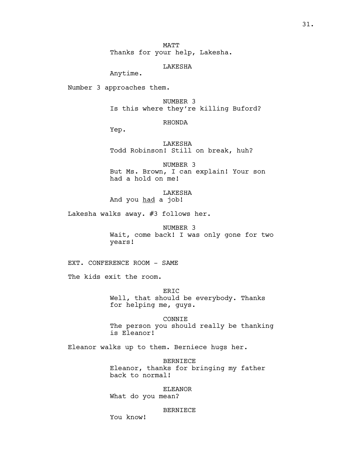31.

MATT Thanks for your help, Lakesha.

## LAKESHA

Anytime.

Number 3 approaches them.

NUMBER 3 Is this where they're killing Buford?

# RHONDA

Yep.

LAKESHA Todd Robinson! Still on break, huh?

NUMBER 3 But Ms. Brown, I can explain! Your son had a hold on me!

LAKESHA And you had a job!

Lakesha walks away. #3 follows her.

NUMBER 3 Wait, come back! I was only gone for two years!

EXT. CONFERENCE ROOM - SAME

The kids exit the room.

ERIC Well, that should be everybody. Thanks for helping me, guys.

CONNIE The person you should really be thanking is Eleanor!

Eleanor walks up to them. Berniece hugs her.

BERNIECE Eleanor, thanks for bringing my father back to normal!

ELEANOR

What do you mean?

#### BERNIECE

You know!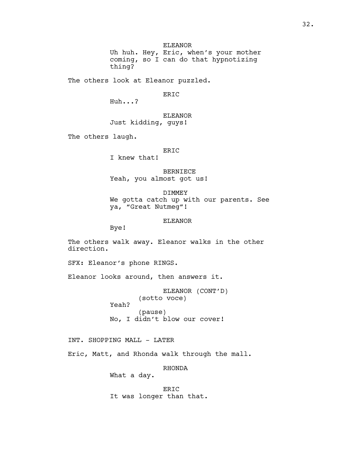ELEANOR

Uh huh. Hey, Eric, when's your mother coming, so I can do that hypnotizing thing?

The others look at Eleanor puzzled.

ERIC

Huh...?

ELEANOR Just kidding, guys!

The others laugh.

ERIC

I knew that!

BERNIECE Yeah, you almost got us!

DIMMEY We gotta catch up with our parents. See ya, "Great Nutmeg"!

ELEANOR

Bye!

The others walk away. Eleanor walks in the other direction.

SFX: Eleanor's phone RINGS.

Eleanor looks around, then answers it.

ELEANOR (CONT'D) (sotto voce) Yeah? (pause) No, I didn't blow our cover!

INT. SHOPPING MALL - LATER

Eric, Matt, and Rhonda walk through the mall.

RHONDA

What a day.

ERIC It was longer than that.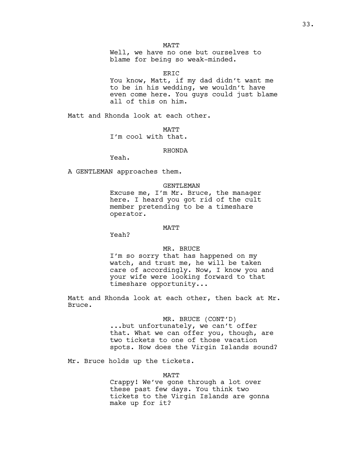Well, we have no one but ourselves to blame for being so weak-minded.

ERIC

You know, Matt, if my dad didn't want me to be in his wedding, we wouldn't have even come here. You guys could just blame all of this on him.

Matt and Rhonda look at each other.

MATT I'm cool with that.

### RHONDA

Yeah.

A GENTLEMAN approaches them.

#### GENTLEMAN

Excuse me, I'm Mr. Bruce, the manager here. I heard you got rid of the cult member pretending to be a timeshare operator.

#### MATT

Yeah?

#### MR. BRUCE

I'm so sorry that has happened on my watch, and trust me, he will be taken care of accordingly. Now, I know you and your wife were looking forward to that timeshare opportunity...

Matt and Rhonda look at each other, then back at Mr. Bruce.

## MR. BRUCE (CONT'D)

...but unfortunately, we can't offer that. What we can offer you, though, are two tickets to one of those vacation spots. How does the Virgin Islands sound?

Mr. Bruce holds up the tickets.

#### MATT

Crappy! We've gone through a lot over these past few days. You think two tickets to the Virgin Islands are gonna make up for it?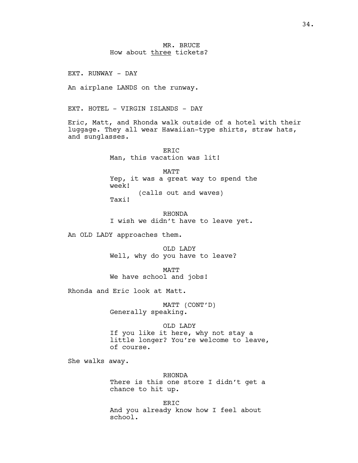MR. BRUCE How about three tickets?

EXT. RUNWAY - DAY

An airplane LANDS on the runway.

EXT. HOTEL - VIRGIN ISLANDS - DAY

Eric, Matt, and Rhonda walk outside of a hotel with their luggage. They all wear Hawaiian-type shirts, straw hats, and sunglasses.

> ER<sub>TC</sub> Man, this vacation was lit!

MATT Yep, it was a great way to spend the week! (calls out and waves) Taxi!

RHONDA I wish we didn't have to leave yet.

An OLD LADY approaches them.

OLD LADY Well, why do you have to leave?

MATT We have school and jobs!

Rhonda and Eric look at Matt.

MATT (CONT'D) Generally speaking.

OLD LADY

If you like it here, why not stay a little longer? You're welcome to leave, of course.

She walks away.

RHONDA There is this one store I didn't get a chance to hit up.

ERIC And you already know how I feel about school.